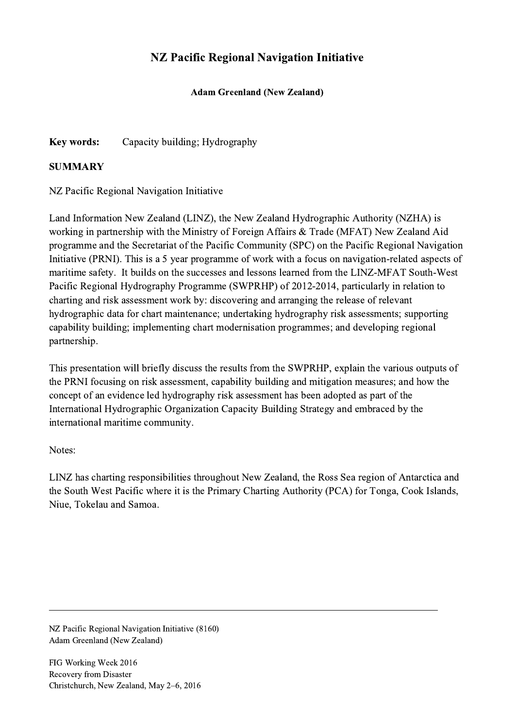# NZ Pacific Regional Navigation Initiative

### Adam Greenland (New Zealand)

Key words: Capacity building; Hydrography

### **SUMMARY**

NZ Pacific Regional Navigation Initiative

Land Information New Zealand (LINZ), the New Zealand Hydrographic Authority (NZHA) is working in partnership with the Ministry of Foreign Affairs & Trade (MFAT) New Zealand Aid programme and the Secretariat of the Pacific Community (SPC) on the Pacific Regional Navigation Initiative (PRNI). This is a 5 year programme of work with a focus on navigation-related aspects of maritime safety. It builds on the successes and lessons learned from the LINZ-MFAT South-West Pacific Regional Hydrography Programme (SWPRHP) of 2012-2014, particularly in relation to charting and risk assessment work by: discovering and arranging the release of relevant hydrographic data for chart maintenance; undertaking hydrography risk assessments; supporting capability building; implementing chart modernisation programmes; and developing regional partnership.

This presentation will briefly discuss the results from the SWPRHP, explain the various outputs of the PRNI focusing on risk assessment, capability building and mitigation measures; and how the concept of an evidence led hydrography risk assessment has been adopted as part of the International Hydrographic Organization Capacity Building Strategy and embraced by the international maritime community.

### Notes:

LINZ has charting responsibilities throughout New Zealand, the Ross Sea region of Antarctica and the South West Pacific where it is the Primary Charting Authority (PCA) for Tonga, Cook Islands, Niue, Tokelau and Samoa.

 $\mathcal{L}_\mathcal{L} = \{ \mathcal{L}_\mathcal{L} = \{ \mathcal{L}_\mathcal{L} = \{ \mathcal{L}_\mathcal{L} = \{ \mathcal{L}_\mathcal{L} = \{ \mathcal{L}_\mathcal{L} = \{ \mathcal{L}_\mathcal{L} = \{ \mathcal{L}_\mathcal{L} = \{ \mathcal{L}_\mathcal{L} = \{ \mathcal{L}_\mathcal{L} = \{ \mathcal{L}_\mathcal{L} = \{ \mathcal{L}_\mathcal{L} = \{ \mathcal{L}_\mathcal{L} = \{ \mathcal{L}_\mathcal{L} = \{ \mathcal{L}_\mathcal{$ 

NZ Pacific Regional Navigation Initiative (8160) Adam Greenland (New Zealand)

FIG Working Week 2016 Recovery from Disaster Christchurch, New Zealand, May 2–6, 2016